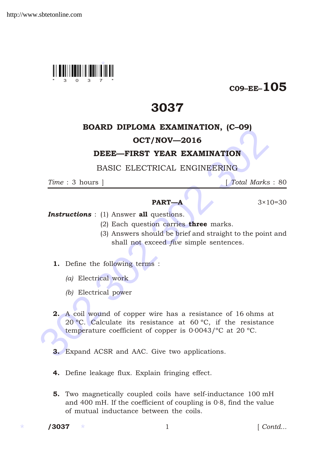

## $C09$ –EE– $105$

# 3037

#### BOARD DIPLOMA EXAMINATION, (C–09)

### OCT/NOV—2016

#### DEEE—FIRST YEAR EXAMINATION

BASIC ELECTRICAL ENGINEERING

*Time* : 3 hours ] [ *Total Marks* : 80

#### **PART—A**  $3 \times 10 = 30$

**Instructions** : (1) Answer all questions.

- (2) Each question carries three marks.
- (3) Answers should be brief and straight to the point and shall not exceed *five* simple sentences.
- 1. Define the following terms :
	- *(a)* Electrical work
	- *(b)* Electrical power

**OCT/NOV—2016**<br> **DEEE—FIRST YEAR EXAMINATION**, (C-99)<br> **OCT/NOV—2016**<br> **DEEE—FIRST YEAR EXAMINATION**<br>
FINE : 3 hours <br> **PART—A** 3×10-<br> **Instructions** : (1) Answer all questions.<br>
(2) Each question carries three marks.<br>
(3 2. A coil wound of copper wire has a resistance of 16 ohms at 20 ºC. Calculate its resistance at 60 ºC, if the resistance temperature coefficient of copper is 0·0043/ºC at 20 ºC.

- 3. Expand ACSR and AAC. Give two applications.
- 4. Define leakage flux. Explain fringing effect.
- 5. Two magnetically coupled coils have self-inductance 100 mH and 400 mH. If the coefficient of coupling is 0·8, find the value of mutual inductance between the coils.

/3037

1 *Contd...*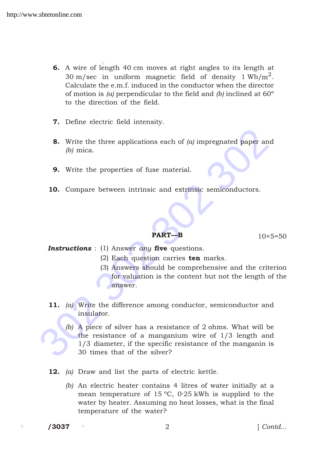- **6.** A wire of length 40 cm moves at right angles to its length at 30 m/sec in uniform magnetic field of density 1 Wb/m<sup>2</sup>. Calculate the e.m.f. induced in the conductor when the director of motion is *(a)* perpendicular to the field and *(b)* inclined at 60º to the direction of the field.
- 7. Define electric field intensity.
- 8. Write the three applications each of *(a)* impregnated paper and *(b)* mica.
- 9. Write the properties of fuse material.
- 10. Compare between intrinsic and extrinsic semiconductors.

**PART—B**  $10 \times 5=50$ 

- *Instructions* : (1) Answer *any* five questions.
	- (2) Each question carries ten marks.
	- (3) Answers should be comprehensive and the criterion for valuation is the content but not the length of the answer.
- 11. *(a)* Write the difference among conductor, semiconductor and insulator.
- 302 302 302 302 *(b)* A piece of silver has a resistance of 2 ohms. What will be the resistance of a manganium wire of 1/3 length and 1/3 diameter, if the specific resistance of the manganin is 30 times that of the silver?
	- 12. *(a)* Draw and list the parts of electric kettle.
		- *(b)* An electric heater contains 4 litres of water initially at a mean temperature of 15 ºC, 0·25 kWh is supplied to the water by heater. Assuming no heat losses, what is the final temperature of the water?

/3037

/3037 2 [ *Contd...*